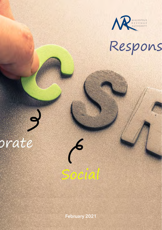





Social

GUIDE ON CORPORATE ON CORPORATE SOCIAL RESPONSIBILITY

(CSR)

orate

February 2021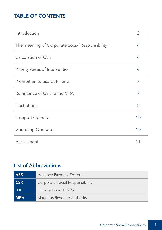## TABLE OF CONTENTS

| Introduction                                   | $\overline{2}$ |
|------------------------------------------------|----------------|
| The meaning of Corporate Social Responsibility | 4              |
| Calculation of CSR                             | 4              |
| Priority Areas of Intervention                 | 6              |
| Prohibition to use CSR Fund                    | 7              |
| Remittance of CSR to the MRA                   | 7              |
| Illustrations                                  | 8              |
| <b>Freeport Operator</b>                       | 10             |
| <b>Gambling Operator</b>                       | 10             |
| Assessment                                     | 11             |

### List of Abbreviations

| <b>APS</b> | <b>Advance Payment System</b>   |
|------------|---------------------------------|
| <b>CSR</b> | Corporate Social Responsibility |
| l ITA      | Income Tax Act 1995             |
| <b>MRA</b> | Mauritius Revenue Authority     |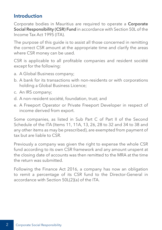### Introduction

Corporate bodies in Mauritius are required to operate a Corporate Social Responsibility (CSR) Fund in accordance with Section 50L of the Income Tax Act 1995 (ITA).

The purpose of this guide is to assist all those concerned in remitting the correct CSR amount at the appropriate time and clarify the areas where CSR money can be used.

CSR is applicable to all profitable companies and resident société except for the following:

- a. A Global Business company;
- b. A bank for its transactions with non-residents or with corporations holding a Global Business Licence;
- c. An IRS company;
- d. A non–resident société, foundation, trust; and
- e. A Freeport Operator or Private Freeport Developer in respect of income derived from export.

Some companies, as listed in Sub Part C of Part II of the Second Schedule of the ITA (Items 11, 11A, 13, 26, 28 to 32 and 34 to 38 and any other items as may be prescribed), are exempted from payment of tax but are liable to CSR.

Previously a company was given the right to expense the whole CSR fund according to its own CSR framework and any amount unspent at the closing date of accounts was then remitted to the MRA at the time the return was submitted.

Following the Finance Act 2016, a company has now an obligation to remit a percentage of its CSR fund to the Director-General in accordance with Section 50L(2)(a) of the ITA.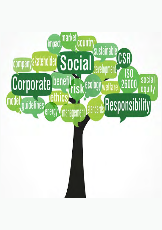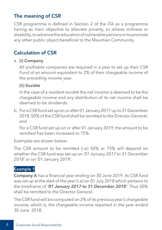### The meaning of CSR

CSR programme is defined in Section 2 of the ITA as a programme having as main objective to alleviate poverty, to relieve sickness or disability, to advance the education of vulnerable persons or to promote any other public object beneficial to the Mauritian Community.

### Calculation of CSR

#### a. (i) Company

All profitable companies are required in a year to set up their CSR Fund of an amount equivalent to 2% of their chargeable income of the preceding income year.

#### (ii) Société

In the case of a resident société the net income is deemed to be the chargeable income and any distribution of its net income shall be deemed to be dividends.

b. For a CSR fund set up on or after 01 January 2017 up to 31 December 2018, 50% of the CSR fund shall be remitted to the Director-General; and

For a CSR fund set up on or after 01 January 2019, the amount to be remitted has been increased to 75%.

Examples are shown below:

The CSR amount to be remitted (i.e) 50% or 75% will depend on whether the CSR fund was set up on *'01 January 2017 to 31 December 2018'* or on '01 January 2019'.

#### Example 1

Company A has a financial year ending on 30 June 2019. Its CSR fund was set up at the start of the year (i.e) on 01 July 2018 which pertains to the timeframe of *'01 January 2017 to 31 December 2018'*. Thus 50% shall be remitted to the Director-General.

The CSR fund will be computed on 2% of its previous year's chargeable income, which is, the chargeable income reported in the year ended 30 June 2018.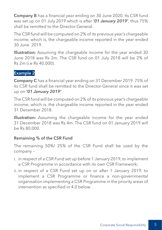Company B has a financial year ending on 30 June 2020. Its CSR fund was set up on 01 July 2019 which is after *'01 January 2019'*, thus 75% shall be remitted to the Director-General.

The CSR fund will be computed on 2% of its previous year's chargeable income, which is, the chargeable income reported in the year ended 30 June 2019.

Illustration: Assuming the chargeable income for the year ended 30 June 2018 was Rs 2m. The CSR fund on 01 July 2018 will be 2% of Rs 2m (i.e Rs 40,000).

#### Example 2

Company C has a financial year ending on 31 December 2019. 75% of its CSR fund shall be remitted to the Director-General since it was set up on *'01 January 2019'*.

The CSR fund will be computed on 2% of its previous year's chargeable income, which is, the chargeable income reported in the year ended 31 December 2018.

Illustration: Assuming the chargeable income for the year ended 31 December 2018 was Rs 4m. The CSR fund on 01 January 2019 will be Rs 80,000.

#### Remaining % of the CSR Fund

The remaining 50%/ 25% of the CSR Fund shall be used by the company –

- i. in respect of a CSR Fund set up before 1 January 2019, to implement a CSR Programme in accordance with its own CSR Framework;
- ii. in respect of a CSR Fund set up on or after 1 January 2019, to implement a CSR Programme or finance a non-governmental organisation implementing a CSR Programme in the priority areas of intervention as specified in 4.0 below.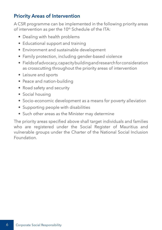### Priority Areas of Intervention

A CSR programme can be implemented in the following priority areas of intervention as per the 10<sup>th</sup> Schedule of the ITA:

- Dealing with health problems
- Educational support and training
- Environment and sustainable development
- Family protection, including gender-based violence
- Fields of advocacy, capacity building and research for consideration as crosscutting throughout the priority areas of intervention
- Leisure and sports
- Peace and nation-building
- Road safety and security
- Social housing
- Socio-economic development as a means for poverty alleviation
- Supporting people with disabilities
- Such other areas as the Minister may determine

The priority areas specified above shall target individuals and families who are registered under the Social Register of Mauritius and vulnerable groups under the Charter of the National Social Inclusion **Foundation**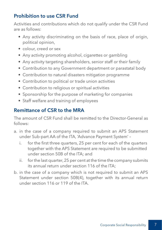### Prohibition to use CSR Fund

Activities and contributions which do not qualify under the CSR Fund are as follows:

- Any activity discriminating on the basis of race, place of origin, political opinion,
- colour, creed or sex
- Any activity promoting alcohol, cigarettes or gambling
- Any activity targeting shareholders, senior staff or their family
- Contribution to any Government department or parastatal body
- Contribution to natural disasters mitigation programme
- Contribution to political or trade union activities
- Contribution to religious or spiritual activities
- Sponsorship for the purpose of marketing for companies
- Staff welfare and training of employees

### Remittance of CSR to the MRA

The amount of CSR Fund shall be remitted to the Director-General as follows:

- a. in the case of a company required to submit an APS Statement under Sub-part AA of the ITA, 'Advance Payment System' –
	- i. for the first three quarters, 25 per cent for each of the quarters together with the APS Statement are required to be submitted under section 50B of the ITA; and
	- ii. for the last quarter, 25 per cent at the time the company submits its annual return under section 116 of the ITA;
- b. in the case of a company which is not required to submit an APS Statement under section 50B(4), together with its annual return under section 116 or 119 of the ITA.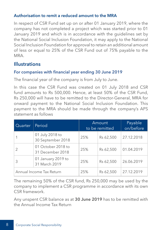#### Authorisation to remit a reduced amount to the MRA

In respect of CSR Fund set up on or after 01 January 2019, where the company has not completed a project which was started prior to 01 January 2019 and which is in accordance with the guidelines set by the National Social Inclusion Foundation, it may apply to the National Social Inclusion Foundation for approval to retain an additional amount of less or equal to 25% of the CSR Fund out of 75% payable to the MRA.

### Illustrations

#### For companies with financial year ending 30 June 2019

The financial year of the company is from July to June.

In this case the CSR Fund was created on 01 July 2018 and CSR fund amounts to Rs 500,000. Hence, at least 50% of the CSR Fund, Rs 250,000 will have to be remitted to the Director-General, MRA for onward payment to the National Social Inclusion Foundation. This payment to the MRA should be made through the company's APS statement as follows

| Quarter                  | Period                                 | Amount<br>to be remitted |           | Payable<br>on/before |
|--------------------------|----------------------------------------|--------------------------|-----------|----------------------|
|                          | 01 July 2018 to<br>30 September 2018   | 25%                      | Rs 62,500 | 27.12.2018           |
|                          | 01 October 2018 to<br>31 December 2018 | 25%                      | Rs 62,500 | 01.04.2019           |
| 3                        | 01 January 2019 to<br>31 March 2019    | 25%                      | Rs 62,500 | 26.06.2019           |
| Annual Income Tax Return |                                        | 25%                      | Rs 62,500 | 27.12.2019           |

The remaining 50% of the CSR fund, Rs 250,000 may be used by the company to implement a CSR programme in accordance with its own CSR framework.

Any unspent CSR balance as at 30 June 2019 has to be remitted with the Annual Income Tax Return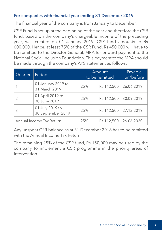#### For companies with financial year ending 31 December 2019

The financial year of the company is from January to December.

CSR Fund is set up at the beginning of the year and therefore the CSR fund, based on the company's chargeable income of the preceding year, was created on 01 January 2019. CSR fund amounts to Rs 600,000. Hence, at least 75% of the CSR Fund, Rs 450,000 will have to be remitted to the Director-General, MRA for onward payment to the National Social Inclusion Foundation. This payment to the MRA should be made through the company's APS statement as follows:

| Quarter                  | Period                               | Amount<br>to be remitted |            | Payable<br>on/before |
|--------------------------|--------------------------------------|--------------------------|------------|----------------------|
|                          | 01 January 2019 to<br>31 March 2019  | 25%                      | Rs 112,500 | 26.06.2019           |
| 2                        | 01 April 2019 to<br>30 June 2019     | 25%                      | Rs 112,500 | 30.09.2019           |
| 3                        | 01 July 2019 to<br>30 September 2019 | 25%                      | Rs 112,500 | 27.12.2019           |
| Annual Income Tax Return |                                      | 25%                      | Rs 112,500 | 26.06.2020           |

Any unspent CSR balance as at 31 December 2018 has to be remitted with the Annual Income Tax Return.

The remaining 25% of the CSR fund, Rs 150,000 may be used by the company to implement a CSR programme in the priority areas of intervention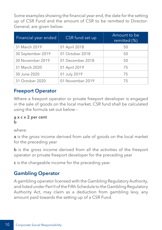Some examples showing the financial year end, the date for the setting up of CSR Fund and the amount of CSR to be remitted to Director-General, are given below:

| Financial year ended | CSR fund set up  | Amount to be<br>remitted (%) |
|----------------------|------------------|------------------------------|
| 31 March 2019        | 01 April 2018    | 50                           |
| 30 September 2019    | 01 October 2018  | 50                           |
| 30 November 2019     | 01 December 2018 | 50                           |
| 31 March 2020        | 01 April 2019    | 75                           |
| 30 June 2020         | 01 July 2019     | 75                           |
| 31 October 2020      | 01 November 2019 | 75                           |

### Freeport Operator

Where a freeport operator or private freeport developer is engaged in the sale of goods on the local market, CSR fund shall be calculated using the formula set out below –

#### a x c x 2 per cent b

where:

a is the gross income derived from sale of goods on the local market for the preceding year

**b** is the gross income derived from all the activities of the freeport operator or private freeport developer for the preceding year

c is the chargeable income for the preceding year.

# Gambling Operator

A gambling operator licensed with the Gambling Regulatory Authority, and listed under Part II of the Fifth Schedule to the Gambling Regulatory Authority Act, may claim as a deduction from gambling levy, any amount paid towards the setting up of a CSR Fund.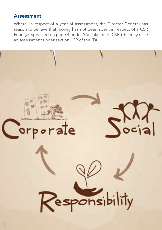#### Assessment

Where, in respect of a year of assessment, the Director-General has reason to believe that money has not been spent in respect of a CSR Fund (as specified on page 4 under 'Calculation of CSR'), he may raise an assessment under section 129 of the ITA.